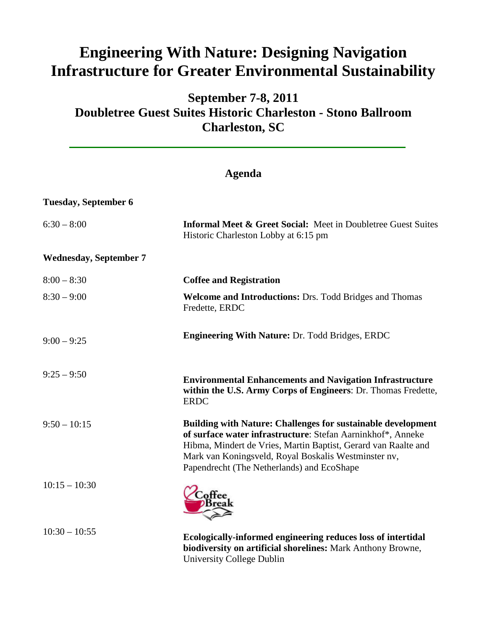## **Engineering With Nature: Designing Navigation Infrastructure for Greater Environmental Sustainability**

## **September 7-8, 2011 Doubletree Guest Suites Historic Charleston - Stono Ballroom Charleston, SC**

## **Agenda**

**Tuesday, September 6** 6:30 – 8:00 **Informal Meet & Greet Social:** Meet in Doubletree Guest Suites Historic Charleston Lobby at 6:15 pm **Wednesday, September 7**  $8:00 - 8:30$ 8:30 – 9:00 **Coffee and Registration Welcome and Introductions:** Drs. Todd Bridges and Thomas Fredette, ERDC  $9:00 - 9:25$  $9:25 - 9:50$  $9:50 - 10:15$  $10:15 - 10:30$ **Engineering With Nature:** Dr. Todd Bridges, ERDC **Environmental Enhancements and Navigation Infrastructure within the U.S. Army Corps of Engineers**: Dr. Thomas Fredette, ERDC **Building with Nature: Challenges for sustainable development of surface water infrastructure**: Stefan Aarninkhof\*, Anneke Hibma, Mindert de Vries, Martin Baptist, Gerard van Raalte and Mark van Koningsveld, Royal Boskalis Westminster nv, Papendrecht (The Netherlands) and EcoShape

10:30 – 10:55 **Ecologically-informed engineering reduces loss of intertidal biodiversity on artificial shorelines:** Mark Anthony Browne, University College Dublin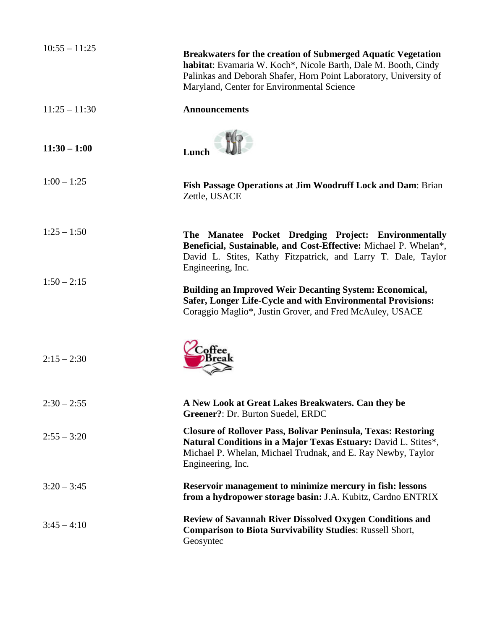| $10:55 - 11:25$ | <b>Breakwaters for the creation of Submerged Aquatic Vegetation</b><br>habitat: Evamaria W. Koch*, Nicole Barth, Dale M. Booth, Cindy<br>Palinkas and Deborah Shafer, Horn Point Laboratory, University of<br>Maryland, Center for Environmental Science |
|-----------------|----------------------------------------------------------------------------------------------------------------------------------------------------------------------------------------------------------------------------------------------------------|
| $11:25 - 11:30$ | <b>Announcements</b>                                                                                                                                                                                                                                     |
| $11:30 - 1:00$  | Lunch                                                                                                                                                                                                                                                    |
| $1:00 - 1:25$   | Fish Passage Operations at Jim Woodruff Lock and Dam: Brian<br>Zettle, USACE                                                                                                                                                                             |
| $1:25 - 1:50$   | The Manatee Pocket Dredging Project: Environmentally<br>Beneficial, Sustainable, and Cost-Effective: Michael P. Whelan*,<br>David L. Stites, Kathy Fitzpatrick, and Larry T. Dale, Taylor<br>Engineering, Inc.                                           |
| $1:50 - 2:15$   | <b>Building an Improved Weir Decanting System: Economical,</b><br>Safer, Longer Life-Cycle and with Environmental Provisions:<br>Coraggio Maglio*, Justin Grover, and Fred McAuley, USACE                                                                |
| $2:15 - 2:30$   |                                                                                                                                                                                                                                                          |
| $2:30 - 2:55$   | A New Look at Great Lakes Breakwaters. Can they be<br>Greener?: Dr. Burton Suedel, ERDC                                                                                                                                                                  |
| $2:55 - 3:20$   | <b>Closure of Rollover Pass, Bolivar Peninsula, Texas: Restoring</b><br>Natural Conditions in a Major Texas Estuary: David L. Stites*,<br>Michael P. Whelan, Michael Trudnak, and E. Ray Newby, Taylor<br>Engineering, Inc.                              |
| $3:20 - 3:45$   | Reservoir management to minimize mercury in fish: lessons<br>from a hydropower storage basin: J.A. Kubitz, Cardno ENTRIX                                                                                                                                 |
| $3:45 - 4:10$   | <b>Review of Savannah River Dissolved Oxygen Conditions and</b><br><b>Comparison to Biota Survivability Studies: Russell Short,</b><br>Geosyntec                                                                                                         |